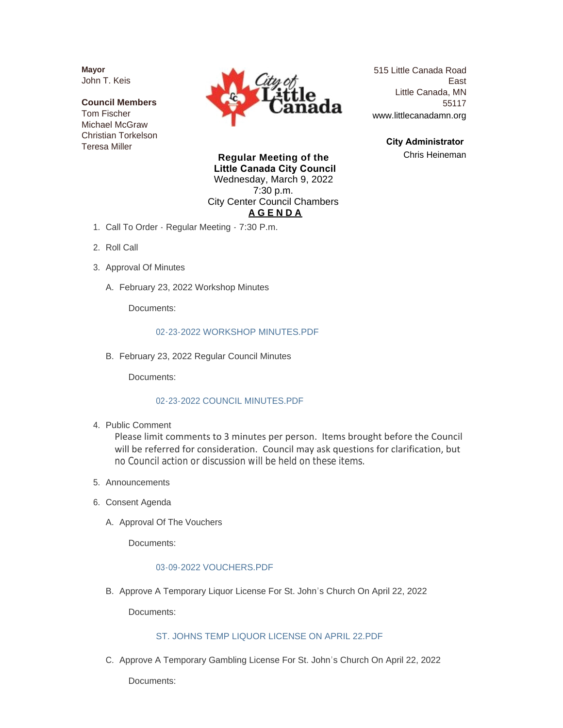**Mayor** John T. Keis

**Council Members** Tom Fischer Michael McGraw Christian Torkelson Teresa Miller



515 Little Canada Road East Little Canada, MN 55117 www.littlecanadamn.org

> **City Administrator**  Chris Heineman

**Regular Meeting of the Little Canada City Council** Wednesday, March 9, 2022 7:30 p.m. City Center Council Chambers **A G E N D A**

- 1. Call To Order Regular Meeting 7:30 P.m.
- 2. Roll Call
- 3. Approval Of Minutes
	- A. February 23, 2022 Workshop Minutes

Documents:

#### [02-23-2022 WORKSHOP MINUTES.PDF](http://www.littlecanadamn.org/AgendaCenter/ViewFile/Item/3831?fileID=3559)

B. February 23, 2022 Regular Council Minutes

Documents:

#### [02-23-2022 COUNCIL MINUTES.PDF](http://www.littlecanadamn.org/AgendaCenter/ViewFile/Item/3830?fileID=3558)

4. Public Comment

Please limit comments to 3 minutes per person. Items brought before the Council will be referred for consideration. Council may ask questions for clarification, but no Council action or discussion will be held on these items.

- 5. Announcements
- 6. Consent Agenda
	- A. Approval Of The Vouchers

Documents:

### [03-09-2022 VOUCHERS.PDF](http://www.littlecanadamn.org/AgendaCenter/ViewFile/Item/3825?fileID=3581)

B. Approve A Temporary Liquor License For St. John's Church On April 22, 2022

Documents:

#### [ST. JOHNS TEMP LIQUOR LICENSE ON APRIL 22.PDF](http://www.littlecanadamn.org/AgendaCenter/ViewFile/Item/3833?fileID=3560)

C. Approve A Temporary Gambling License For St. John's Church On April 22, 2022

Documents: